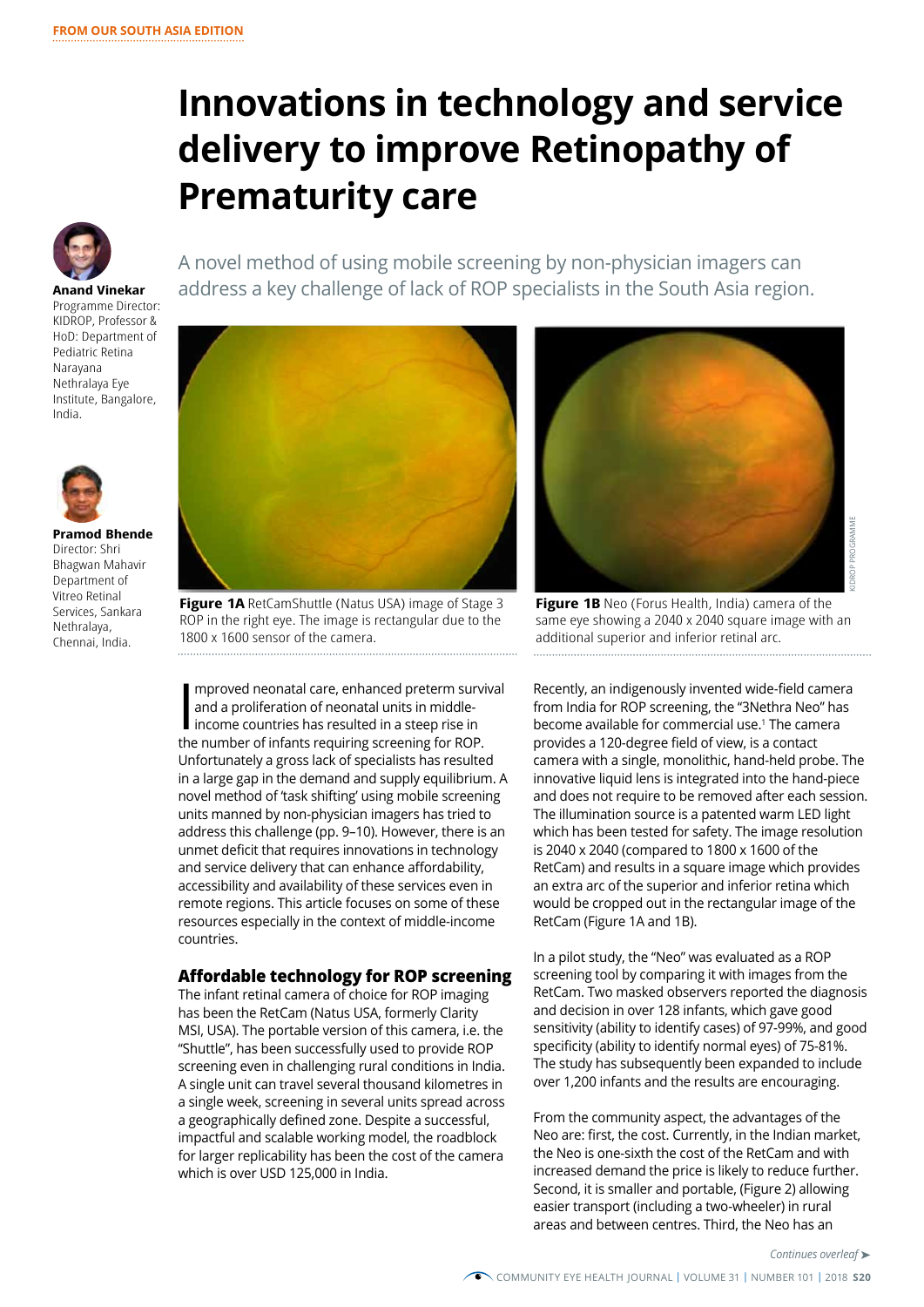# **Innovations in technology and service delivery to improve Retinopathy of Prematurity care**



## A novel method of using mobile screening by non-physician imagers can **Anand Vinekar** address a key challenge of lack of ROP specialists in the South Asia region.

Programme Director: KIDROP, Professor & HoD: Department of Pediatric Retina Narayana Nethralaya Eye Institute, Bangalore, India.



**Pramod Bhende** Director: Shri Bhagwan Mahavir Department of Vitreo Retinal Services, Sankara Nethralaya, Chennai, India.



**Figure 1A** RetCamShuttle (Natus USA) image of Stage 3 ROP in the right eye. The image is rectangular due to the 1800 x 1600 sensor of the camera.

mproved neonatal care, enhanced preterm survi<br>and a proliferation of neonatal units in middle-<br>income countries has resulted in a steep rise in<br>the number of infants requiring screening for ROP. mproved neonatal care, enhanced preterm survival and a proliferation of neonatal units in middleincome countries has resulted in a steep rise in Unfortunately a gross lack of specialists has resulted in a large gap in the demand and supply equilibrium. A novel method of 'task shifting' using mobile screening units manned by non-physician imagers has tried to address this challenge (pp. 9–10). However, there is an unmet deficit that requires innovations in technology and service delivery that can enhance affordability, accessibility and availability of these services even in remote regions. This article focuses on some of these resources especially in the context of middle-income countries.

## **Affordable technology for ROP screening**

The infant retinal camera of choice for ROP imaging has been the RetCam (Natus USA, formerly Clarity MSI, USA). The portable version of this camera, i.e. the "Shuttle", has been successfully used to provide ROP screening even in challenging rural conditions in India. A single unit can travel several thousand kilometres in a single week, screening in several units spread across a geographically defined zone. Despite a successful, impactful and scalable working model, the roadblock for larger replicability has been the cost of the camera which is over USD 125,000 in India.



**Figure 1B** Neo (Forus Health, India) camera of the same eye showing a 2040 x 2040 square image with an additional superior and inferior retinal arc. 

Recently, an indigenously invented wide-field camera from India for ROP screening, the "3Nethra Neo" has become available for commercial use.1 The camera provides a 120-degree field of view, is a contact camera with a single, monolithic, hand-held probe. The innovative liquid lens is integrated into the hand-piece and does not require to be removed after each session. The illumination source is a patented warm LED light which has been tested for safety. The image resolution is 2040 x 2040 (compared to 1800 x 1600 of the RetCam) and results in a square image which provides an extra arc of the superior and inferior retina which would be cropped out in the rectangular image of the RetCam (Figure 1A and 1B). **Example 20**<br> **Continues of the image with an**<br> **Continues of the image with an**<br> **Continues of the camera**<br> **Continues of the hand-piece**<br> **Continues of the which provides**<br> **Continues of the diagnosis gave good**<br> **Conti** 

In a pilot study, the "Neo" was evaluated as a ROP screening tool by comparing it with images from the RetCam. Two masked observers reported the diagnosis and decision in over 128 infants, which gave good sensitivity (ability to identify cases) of 97-99%, and good specificity (ability to identify normal eyes) of 75-81%. The study has subsequently been expanded to include over 1,200 infants and the results are encouraging.

From the community aspect, the advantages of the Neo are: first, the cost. Currently, in the Indian market, the Neo is one-sixth the cost of the RetCam and with increased demand the price is likely to reduce further. Second, it is smaller and portable, (Figure 2) allowing easier transport (including a two-wheeler) in rural areas and between centres. Third, the Neo has an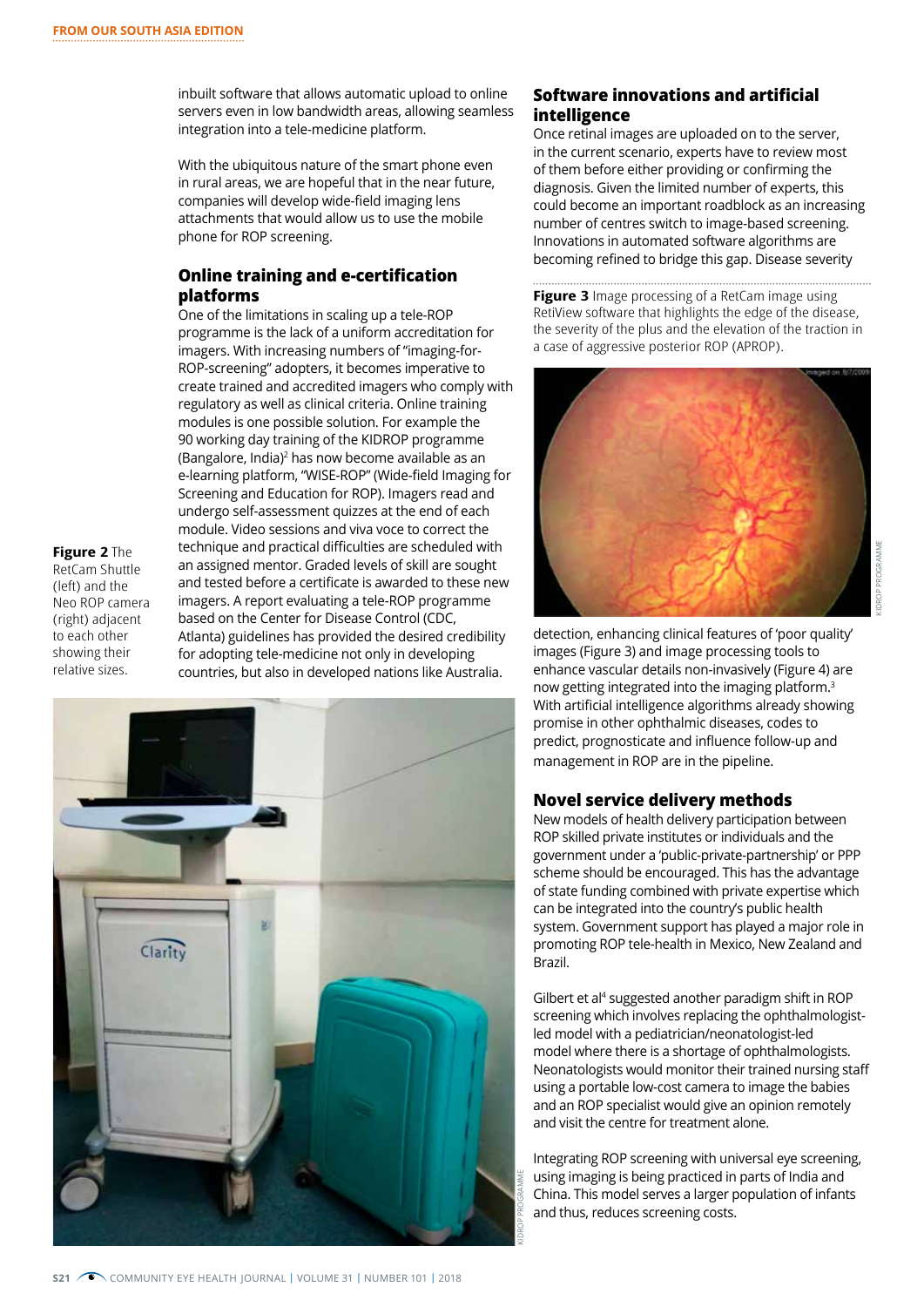inbuilt software that allows automatic upload to online servers even in low bandwidth areas, allowing seamless integration into a tele-medicine platform.

With the ubiquitous nature of the smart phone even in rural areas, we are hopeful that in the near future, companies will develop wide-field imaging lens attachments that would allow us to use the mobile phone for ROP screening.

## **Online training and e-certification platforms**

One of the limitations in scaling up a tele-ROP programme is the lack of a uniform accreditation for imagers. With increasing numbers of "imaging-for-ROP-screening" adopters, it becomes imperative to create trained and accredited imagers who comply with regulatory as well as clinical criteria. Online training modules is one possible solution. For example the 90 working day training of the KIDROP programme (Bangalore, India)<sup>2</sup> has now become available as an e-learning platform, "WISE-ROP" (Wide-field Imaging for Screening and Education for ROP). Imagers read and undergo self-assessment quizzes at the end of each module. Video sessions and viva voce to correct the technique and practical difficulties are scheduled with an assigned mentor. Graded levels of skill are sought and tested before a certificate is awarded to these new imagers. A report evaluating a tele-ROP programme based on the Center for Disease Control (CDC, Atlanta) guidelines has provided the desired credibility for adopting tele-medicine not only in developing countries, but also in developed nations like Australia.

**Figure 2** The RetCam Shuttle (left) and the Neo ROP camera (right) adjacent to each other showing their relative sizes.



## **Software innovations and artificial intelligence**

Once retinal images are uploaded on to the server, in the current scenario, experts have to review most of them before either providing or confirming the diagnosis. Given the limited number of experts, this could become an important roadblock as an increasing number of centres switch to image-based screening. Innovations in automated software algorithms are becoming refined to bridge this gap. Disease severity

**Figure 3** Image processing of a RetCam image using RetiView software that highlights the edge of the disease, the severity of the plus and the elevation of the traction in a case of aggressive posterior ROP (APROP).



detection, enhancing clinical features of 'poor quality' images (Figure 3) and image processing tools to enhance vascular details non-invasively (Figure 4) are now getting integrated into the imaging platform.3 With artificial intelligence algorithms already showing promise in other ophthalmic diseases, codes to predict, prognosticate and influence follow-up and management in ROP are in the pipeline.

## **Novel service delivery methods**

New models of health delivery participation between ROP skilled private institutes or individuals and the government under a 'public-private-partnership' or PPP scheme should be encouraged. This has the advantage of state funding combined with private expertise which can be integrated into the country's public health system. Government support has played a major role in promoting ROP tele-health in Mexico, New Zealand and Brazil.

Gilbert et al<sup>4</sup> suggested another paradigm shift in ROP screening which involves replacing the ophthalmologistled model with a pediatrician/neonatologist-led model where there is a shortage of ophthalmologists. Neonatologists would monitor their trained nursing staff using a portable low-cost camera to image the babies and an ROP specialist would give an opinion remotely and visit the centre for treatment alone.

Integrating ROP screening with universal eye screening, using imaging is being practiced in parts of India and China. This model serves a larger population of infants and thus, reduces screening costs.